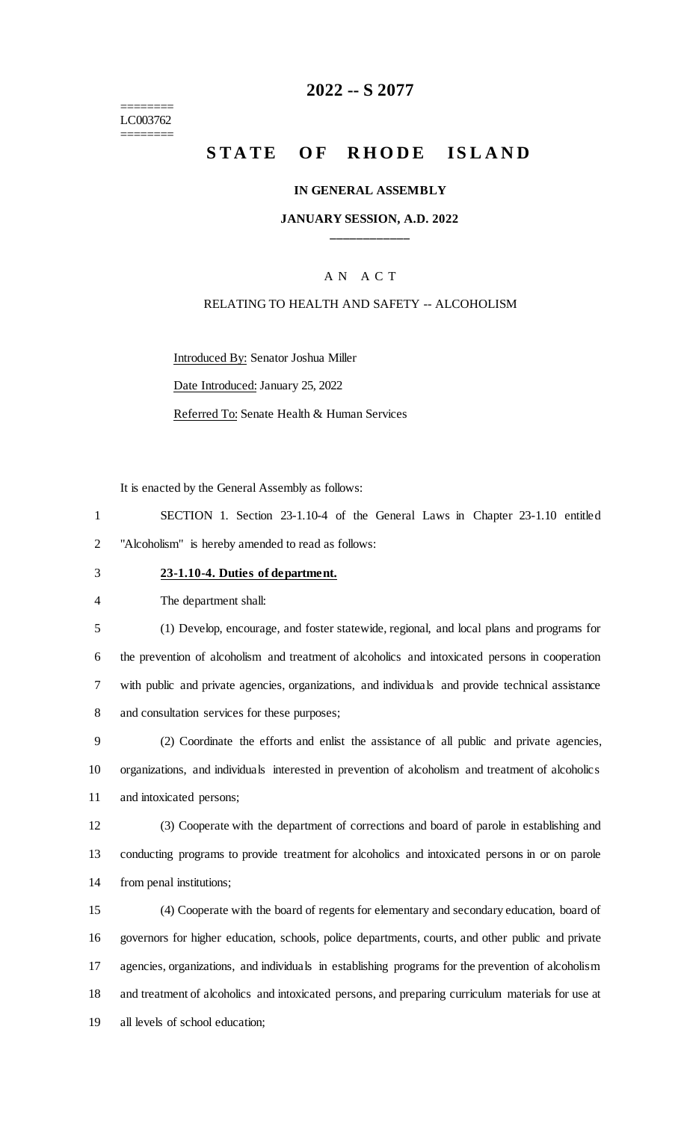======== LC003762 ========

# **-- S 2077**

# **STATE OF RHODE ISLAND**

#### **IN GENERAL ASSEMBLY**

#### **JANUARY SESSION, A.D. 2022 \_\_\_\_\_\_\_\_\_\_\_\_**

# A N A C T

### RELATING TO HEALTH AND SAFETY -- ALCOHOLISM

Introduced By: Senator Joshua Miller

Date Introduced: January 25, 2022

Referred To: Senate Health & Human Services

It is enacted by the General Assembly as follows:

 SECTION 1. Section 23-1.10-4 of the General Laws in Chapter 23-1.10 entitled "Alcoholism" is hereby amended to read as follows:

## **23-1.10-4. Duties of department.**

The department shall:

 (1) Develop, encourage, and foster statewide, regional, and local plans and programs for the prevention of alcoholism and treatment of alcoholics and intoxicated persons in cooperation with public and private agencies, organizations, and individuals and provide technical assistance and consultation services for these purposes;

 (2) Coordinate the efforts and enlist the assistance of all public and private agencies, organizations, and individuals interested in prevention of alcoholism and treatment of alcoholics and intoxicated persons;

 (3) Cooperate with the department of corrections and board of parole in establishing and conducting programs to provide treatment for alcoholics and intoxicated persons in or on parole from penal institutions;

 (4) Cooperate with the board of regents for elementary and secondary education, board of governors for higher education, schools, police departments, courts, and other public and private agencies, organizations, and individuals in establishing programs for the prevention of alcoholism and treatment of alcoholics and intoxicated persons, and preparing curriculum materials for use at all levels of school education;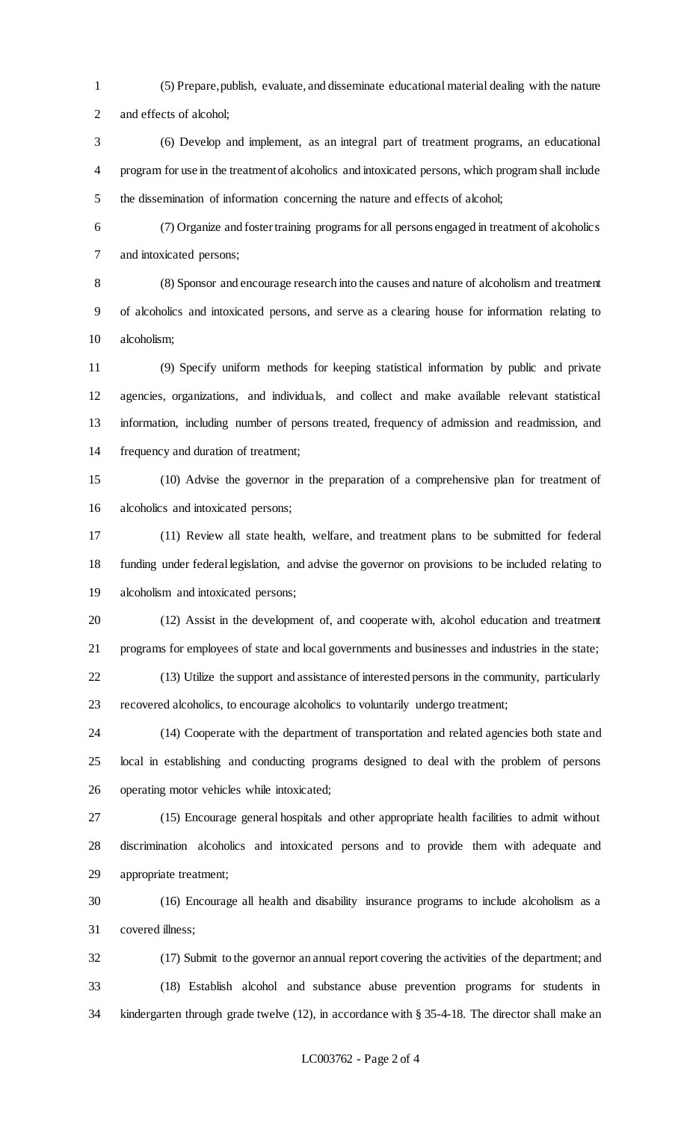(5) Prepare, publish, evaluate, and disseminate educational material dealing with the nature and effects of alcohol;

 (6) Develop and implement, as an integral part of treatment programs, an educational program for use in the treatment of alcoholics and intoxicated persons, which program shall include the dissemination of information concerning the nature and effects of alcohol;

 (7) Organize and foster training programs for all persons engaged in treatment of alcoholics and intoxicated persons;

 (8) Sponsor and encourage research into the causes and nature of alcoholism and treatment of alcoholics and intoxicated persons, and serve as a clearing house for information relating to alcoholism;

 (9) Specify uniform methods for keeping statistical information by public and private agencies, organizations, and individuals, and collect and make available relevant statistical information, including number of persons treated, frequency of admission and readmission, and frequency and duration of treatment;

 (10) Advise the governor in the preparation of a comprehensive plan for treatment of alcoholics and intoxicated persons;

 (11) Review all state health, welfare, and treatment plans to be submitted for federal funding under federal legislation, and advise the governor on provisions to be included relating to alcoholism and intoxicated persons;

 (12) Assist in the development of, and cooperate with, alcohol education and treatment programs for employees of state and local governments and businesses and industries in the state;

 (13) Utilize the support and assistance of interested persons in the community, particularly recovered alcoholics, to encourage alcoholics to voluntarily undergo treatment;

 (14) Cooperate with the department of transportation and related agencies both state and local in establishing and conducting programs designed to deal with the problem of persons operating motor vehicles while intoxicated;

 (15) Encourage general hospitals and other appropriate health facilities to admit without discrimination alcoholics and intoxicated persons and to provide them with adequate and appropriate treatment;

 (16) Encourage all health and disability insurance programs to include alcoholism as a covered illness;

 (17) Submit to the governor an annual report covering the activities of the department; and (18) Establish alcohol and substance abuse prevention programs for students in kindergarten through grade twelve (12), in accordance with § 35-4-18. The director shall make an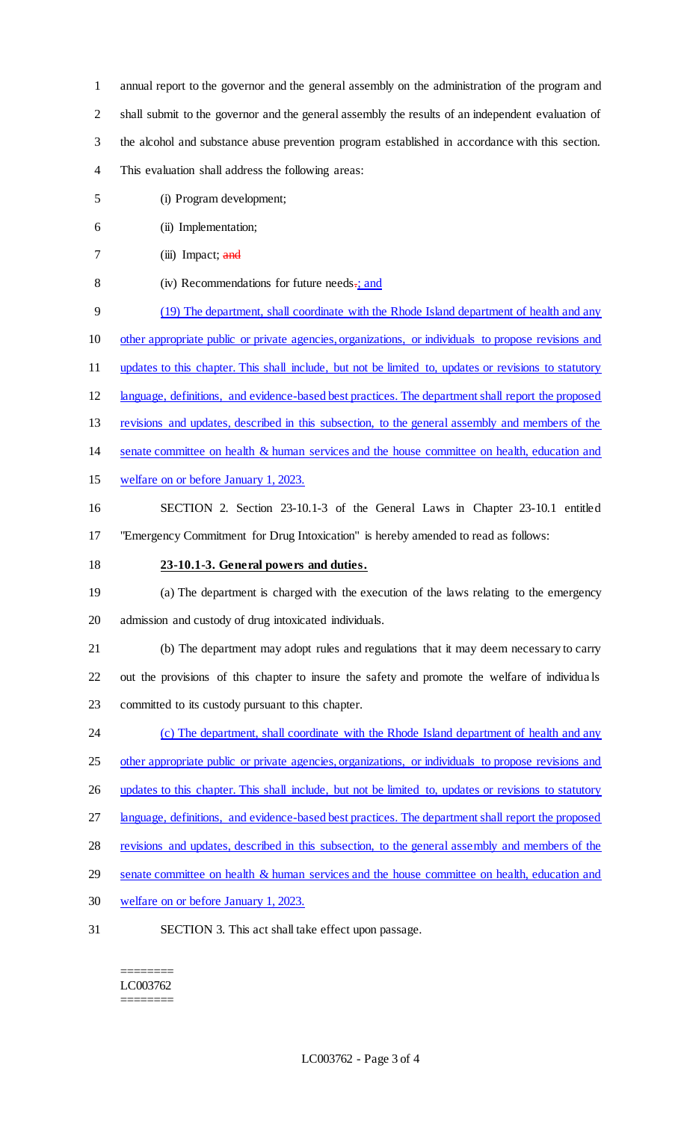annual report to the governor and the general assembly on the administration of the program and shall submit to the governor and the general assembly the results of an independent evaluation of the alcohol and substance abuse prevention program established in accordance with this section. This evaluation shall address the following areas:

- (i) Program development;
- (ii) Implementation;
- 7 (iii) Impact; and
- 8 (iv) Recommendations for future needs-; and
- (19) The department, shall coordinate with the Rhode Island department of health and any
- other appropriate public or private agencies, organizations, or individuals to propose revisions and
- updates to this chapter. This shall include, but not be limited to, updates or revisions to statutory
- language, definitions, and evidence-based best practices. The department shall report the proposed
- revisions and updates, described in this subsection, to the general assembly and members of the
- 14 senate committee on health & human services and the house committee on health, education and
- welfare on or before January 1, 2023.
- SECTION 2. Section 23-10.1-3 of the General Laws in Chapter 23-10.1 entitled "Emergency Commitment for Drug Intoxication" is hereby amended to read as follows:
- **23-10.1-3. General powers and duties.**
- (a) The department is charged with the execution of the laws relating to the emergency admission and custody of drug intoxicated individuals.
- (b) The department may adopt rules and regulations that it may deem necessary to carry out the provisions of this chapter to insure the safety and promote the welfare of individua ls committed to its custody pursuant to this chapter.
- 24 (c) The department, shall coordinate with the Rhode Island department of health and any
- other appropriate public or private agencies, organizations, or individuals to propose revisions and
- 26 updates to this chapter. This shall include, but not be limited to, updates or revisions to statutory
- language, definitions, and evidence-based best practices. The department shall report the proposed
- revisions and updates, described in this subsection, to the general assembly and members of the
- senate committee on health & human services and the house committee on health, education and
- welfare on or before January 1, 2023.
- SECTION 3. This act shall take effect upon passage.

======== LC003762 ========